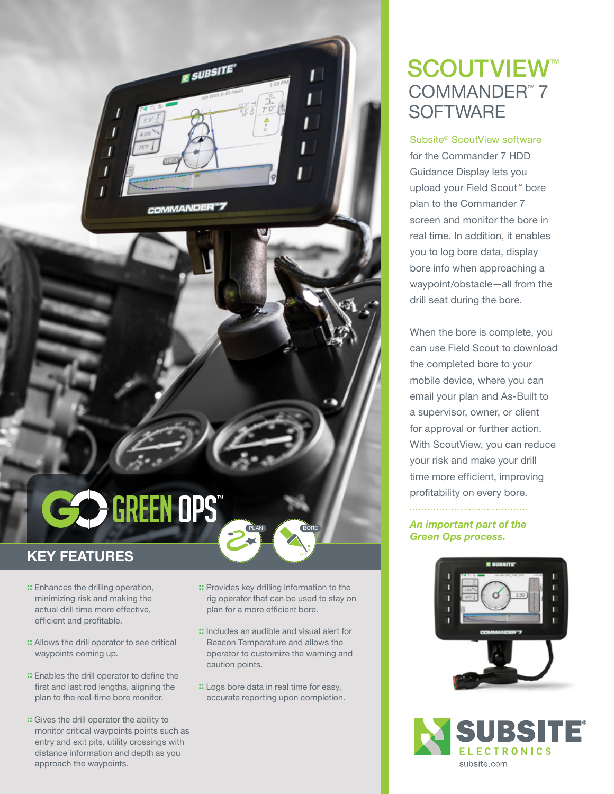

# CO GREEN OPS

#### KEY FEATURES

- :: Enhances the drilling operation, minimizing risk and making the actual drill time more effective, efficient and profitable.
- :: Allows the drill operator to see critical waypoints coming up.
- :: Enables the drill operator to define the first and last rod lengths, aligning the plan to the real-time bore monitor.
- :: Gives the drill operator the ability to monitor critical waypoints points such as entry and exit pits, utility crossings with distance information and depth as you approach the waypoints.

:: Provides key drilling information to the rig operator that can be used to stay on plan for a more efficient bore.

PLAN BORE

- :: Includes an audible and visual alert for Beacon Temperature and allows the operator to customize the warning and caution points.
- :: Logs bore data in real time for easy, accurate reporting upon completion.

### SCOUTVIEW<sup>™</sup> COMMANDER™ 7 **SOFTWARE**

Subsite® ScoutView software for the Commander 7 HDD Guidance Display lets you upload your Field Scout™ bore plan to the Commander 7 screen and monitor the bore in real time. In addition, it enables you to log bore data, display bore info when approaching a waypoint/obstacle—all from the drill seat during the bore.

When the bore is complete, you can use Field Scout to download the completed bore to your mobile device, where you can email your plan and As-Built to a supervisor, owner, or client for approval or further action. With ScoutView, you can reduce your risk and make your drill time more efficient, improving profitability on every bore.

*An important part of the Green Ops process.*